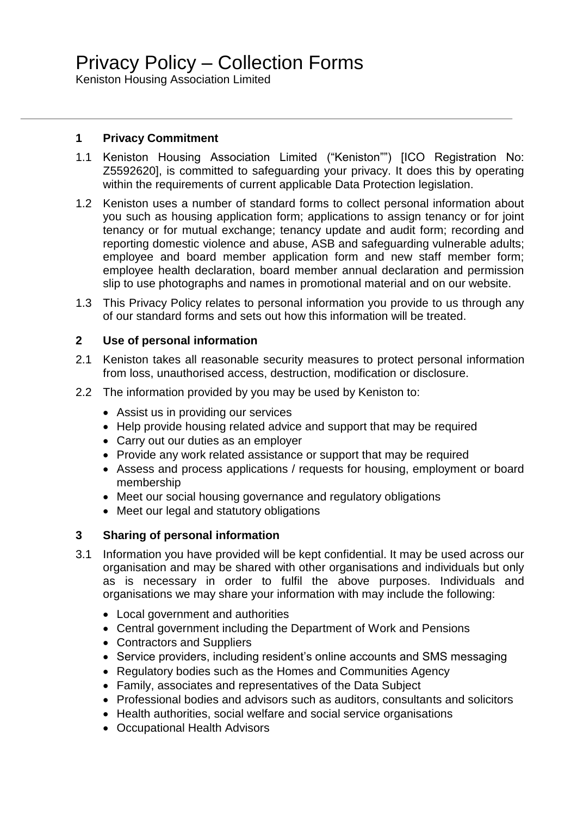Keniston Housing Association Limited

## **1 Privacy Commitment**

- 1.1 Keniston Housing Association Limited ("Keniston"") [ICO Registration No: Z5592620], is committed to safeguarding your privacy. It does this by operating within the requirements of current applicable Data Protection legislation.
- 1.2 Keniston uses a number of standard forms to collect personal information about you such as housing application form; applications to assign tenancy or for joint tenancy or for mutual exchange; tenancy update and audit form; recording and reporting domestic violence and abuse, ASB and safeguarding vulnerable adults; employee and board member application form and new staff member form; employee health declaration, board member annual declaration and permission slip to use photographs and names in promotional material and on our website.
- 1.3 This Privacy Policy relates to personal information you provide to us through any of our standard forms and sets out how this information will be treated.

### **2 Use of personal information**

- 2.1 Keniston takes all reasonable security measures to protect personal information from loss, unauthorised access, destruction, modification or disclosure.
- 2.2 The information provided by you may be used by Keniston to:
	- Assist us in providing our services
	- Help provide housing related advice and support that may be required
	- Carry out our duties as an employer
	- Provide any work related assistance or support that may be required
	- Assess and process applications / requests for housing, employment or board membership
	- Meet our social housing governance and regulatory obligations
	- Meet our legal and statutory obligations

# **3 Sharing of personal information**

- 3.1 Information you have provided will be kept confidential. It may be used across our organisation and may be shared with other organisations and individuals but only as is necessary in order to fulfil the above purposes. Individuals and organisations we may share your information with may include the following:
	- Local government and authorities
	- Central government including the Department of Work and Pensions
	- Contractors and Suppliers
	- Service providers, including resident's online accounts and SMS messaging
	- Regulatory bodies such as the Homes and Communities Agency
	- Family, associates and representatives of the Data Subject
	- Professional bodies and advisors such as auditors, consultants and solicitors
	- Health authorities, social welfare and social service organisations
	- Occupational Health Advisors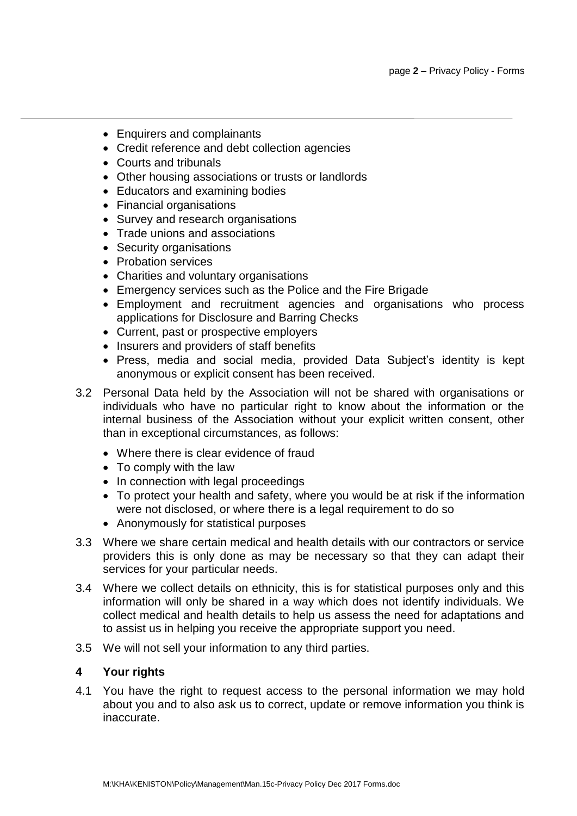- Enquirers and complainants
- Credit reference and debt collection agencies
- Courts and tribunals
- Other housing associations or trusts or landlords
- Educators and examining bodies
- Financial organisations
- Survey and research organisations
- Trade unions and associations
- Security organisations
- Probation services
- Charities and voluntary organisations
- Emergency services such as the Police and the Fire Brigade
- Employment and recruitment agencies and organisations who process applications for Disclosure and Barring Checks
- Current, past or prospective employers
- Insurers and providers of staff benefits
- Press, media and social media, provided Data Subject's identity is kept anonymous or explicit consent has been received.
- 3.2 Personal Data held by the Association will not be shared with organisations or individuals who have no particular right to know about the information or the internal business of the Association without your explicit written consent, other than in exceptional circumstances, as follows:
	- Where there is clear evidence of fraud
	- To comply with the law
	- In connection with legal proceedings
	- To protect your health and safety, where you would be at risk if the information were not disclosed, or where there is a legal requirement to do so
	- Anonymously for statistical purposes
- 3.3 Where we share certain medical and health details with our contractors or service providers this is only done as may be necessary so that they can adapt their services for your particular needs.
- 3.4 Where we collect details on ethnicity, this is for statistical purposes only and this information will only be shared in a way which does not identify individuals. We collect medical and health details to help us assess the need for adaptations and to assist us in helping you receive the appropriate support you need.
- 3.5 We will not sell your information to any third parties.

### **4 Your rights**

4.1 You have the right to request access to the personal information we may hold about you and to also ask us to correct, update or remove information you think is inaccurate.